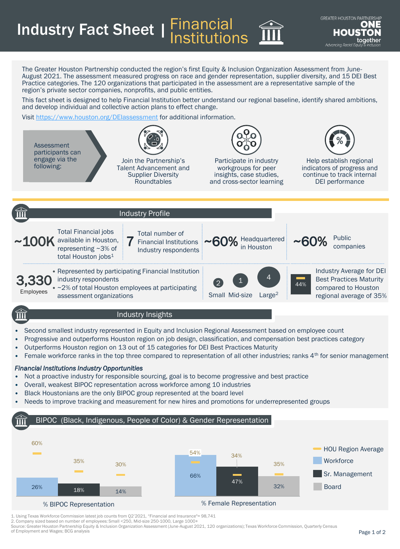Industry Fact Sheet | Financial Institutions

The Greater Houston Partnership conducted the region's first Equity & Inclusion Organization Assessment from June-August 2021. The assessment measured progress on race and gender representation, supplier diversity, and 15 DEI Best Practice categories. The 120 organizations that participated in the assessment are a representative sample of the region's private sector companies, nonprofits, and public entities.

This fact sheet is designed to help Financial Institution better understand our regional baseline, identify shared ambitions, and develop individual and collective action plans to effect change.

Visit <https://www.houston.org/DEIassessment> for additional information.



## • Second smallest industry represented in Equity and Inclusion Regional Assessment based on employee count

- Progressive and outperforms Houston region on job design, classification, and compensation best practices category
- Outperforms Houston region on 13 out of 15 categories for DEI Best Practices Maturity
- Female workforce ranks in the top three compared to representation of all other industries; ranks  $4<sup>th</sup>$  for senior management

## *Financial Institutions Industry Opportunities*

- Not a proactive industry for responsible sourcing, goal is to become progressive and best practice
- Overall, weakest BIPOC representation across workforce among 10 industries
- Black Houstonians are the only BIPOC group represented at the board level
- Needs to improve tracking and measurement for new hires and promotions for underrepresented groups

## BIPOC (Black, Indigenous, People of Color) & Gender Representation



1. Using Texas Workforce Commission latest job counts from Q2'2021, "Financial and Insurance"= 98,741

2. Company sized based on number of employees: Small <250, Mid-size 250-1000, Large 1000+

Source: Greater Houston Partnership Equity & Inclusion Organization Assessment (June-August 2021, 120 organizations); Texas Workforce Commission, Quarterly Census of Employment and Wages; BCG analysis